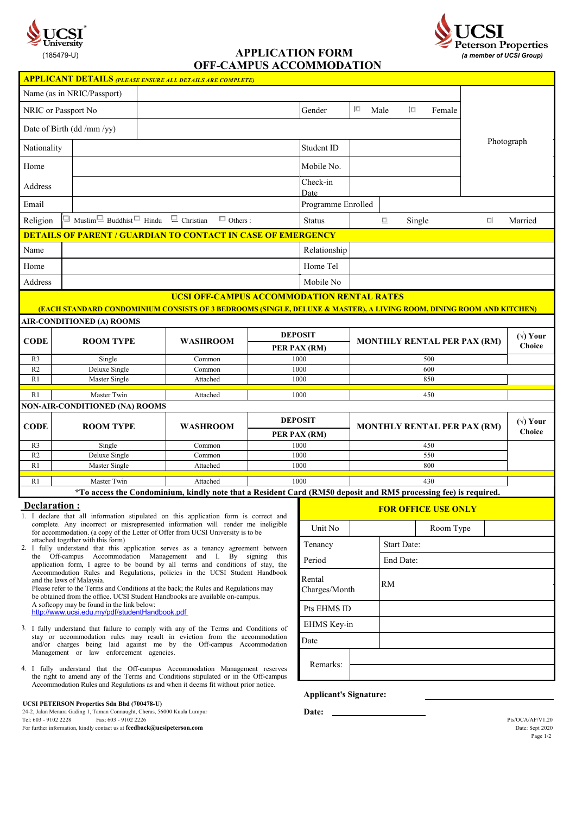



**OFF-CAMPUS ACCOMMODATION**

|                                                                                                                                                                                                                                                                                                                                                                                                                                                                                                                                                                                                                                   |                                                                                                                                                                    | <b>APPLICANT DETAILS (PLEASE ENSURE ALL DETAILS ARE COMPLETE)</b>                                                    |  |                                |                                           |                                    |                            |                            |                                   |
|-----------------------------------------------------------------------------------------------------------------------------------------------------------------------------------------------------------------------------------------------------------------------------------------------------------------------------------------------------------------------------------------------------------------------------------------------------------------------------------------------------------------------------------------------------------------------------------------------------------------------------------|--------------------------------------------------------------------------------------------------------------------------------------------------------------------|----------------------------------------------------------------------------------------------------------------------|--|--------------------------------|-------------------------------------------|------------------------------------|----------------------------|----------------------------|-----------------------------------|
|                                                                                                                                                                                                                                                                                                                                                                                                                                                                                                                                                                                                                                   | Name (as in NRIC/Passport)                                                                                                                                         |                                                                                                                      |  |                                |                                           |                                    |                            |                            |                                   |
| NRIC or Passport No                                                                                                                                                                                                                                                                                                                                                                                                                                                                                                                                                                                                               |                                                                                                                                                                    |                                                                                                                      |  | Gender                         | $\Box$<br>Male                            | 旧                                  | Female                     |                            |                                   |
|                                                                                                                                                                                                                                                                                                                                                                                                                                                                                                                                                                                                                                   | Date of Birth (dd /mm /yy)                                                                                                                                         |                                                                                                                      |  |                                |                                           |                                    |                            |                            |                                   |
| Nationality                                                                                                                                                                                                                                                                                                                                                                                                                                                                                                                                                                                                                       |                                                                                                                                                                    | Student ID                                                                                                           |  |                                |                                           |                                    | Photograph                 |                            |                                   |
| Home                                                                                                                                                                                                                                                                                                                                                                                                                                                                                                                                                                                                                              | Mobile No.                                                                                                                                                         |                                                                                                                      |  |                                |                                           |                                    |                            |                            |                                   |
| Address                                                                                                                                                                                                                                                                                                                                                                                                                                                                                                                                                                                                                           |                                                                                                                                                                    |                                                                                                                      |  | Check-in<br>Date               |                                           |                                    |                            |                            |                                   |
| Email                                                                                                                                                                                                                                                                                                                                                                                                                                                                                                                                                                                                                             |                                                                                                                                                                    |                                                                                                                      |  |                                | Programme Enrolled                        |                                    |                            |                            |                                   |
| $\Box$ Muslim $\Box$ Buddhist $\Box$ Hindu $\Box$ Christian<br>$\Box$ Others :<br>Religion                                                                                                                                                                                                                                                                                                                                                                                                                                                                                                                                        |                                                                                                                                                                    |                                                                                                                      |  | <b>Status</b>                  | $\Box$                                    | Single                             |                            | 미                          | Married                           |
|                                                                                                                                                                                                                                                                                                                                                                                                                                                                                                                                                                                                                                   |                                                                                                                                                                    | <b>DETAILS OF PARENT / GUARDIAN TO CONTACT IN CASE OF EMERGENCY</b>                                                  |  |                                |                                           |                                    |                            |                            |                                   |
| Name                                                                                                                                                                                                                                                                                                                                                                                                                                                                                                                                                                                                                              |                                                                                                                                                                    |                                                                                                                      |  | Relationship                   |                                           |                                    |                            |                            |                                   |
| Home                                                                                                                                                                                                                                                                                                                                                                                                                                                                                                                                                                                                                              |                                                                                                                                                                    |                                                                                                                      |  |                                |                                           |                                    |                            |                            |                                   |
| Address                                                                                                                                                                                                                                                                                                                                                                                                                                                                                                                                                                                                                           |                                                                                                                                                                    |                                                                                                                      |  |                                |                                           |                                    |                            |                            |                                   |
|                                                                                                                                                                                                                                                                                                                                                                                                                                                                                                                                                                                                                                   |                                                                                                                                                                    | <b>UCSI OFF-CAMPUS ACCOMMODATION RENTAL RATES</b>                                                                    |  |                                |                                           |                                    |                            |                            |                                   |
|                                                                                                                                                                                                                                                                                                                                                                                                                                                                                                                                                                                                                                   |                                                                                                                                                                    | (EACH STANDARD CONDOMINIUM CONSISTS OF 3 BEDROOMS (SINGLE, DELUXE & MASTER), A LIVING ROOM, DINING ROOM AND KITCHEN) |  |                                |                                           |                                    |                            |                            |                                   |
|                                                                                                                                                                                                                                                                                                                                                                                                                                                                                                                                                                                                                                   | <b>AIR-CONDITIONED (A) ROOMS</b>                                                                                                                                   |                                                                                                                      |  |                                |                                           |                                    |                            |                            |                                   |
| <b>CODE</b>                                                                                                                                                                                                                                                                                                                                                                                                                                                                                                                                                                                                                       | <b>ROOM TYPE</b>                                                                                                                                                   | <b>WASHROOM</b>                                                                                                      |  | <b>DEPOSIT</b><br>PER PAX (RM) |                                           | <b>MONTHLY RENTAL PER PAX (RM)</b> |                            |                            | $(\forall)$ Your<br><b>Choice</b> |
| R <sub>3</sub>                                                                                                                                                                                                                                                                                                                                                                                                                                                                                                                                                                                                                    | Single                                                                                                                                                             | Common                                                                                                               |  | 1000                           |                                           |                                    | 500                        |                            |                                   |
| R2                                                                                                                                                                                                                                                                                                                                                                                                                                                                                                                                                                                                                                | Deluxe Single                                                                                                                                                      | Common                                                                                                               |  | 1000                           |                                           |                                    | 600                        |                            |                                   |
| R1                                                                                                                                                                                                                                                                                                                                                                                                                                                                                                                                                                                                                                | Master Single                                                                                                                                                      | Attached                                                                                                             |  | 1000                           |                                           |                                    | 850                        |                            |                                   |
| R1                                                                                                                                                                                                                                                                                                                                                                                                                                                                                                                                                                                                                                | Master Twin                                                                                                                                                        | Attached                                                                                                             |  | 1000                           |                                           |                                    | 450                        |                            |                                   |
|                                                                                                                                                                                                                                                                                                                                                                                                                                                                                                                                                                                                                                   | <b>NON-AIR-CONDITIONED (NA) ROOMS</b>                                                                                                                              |                                                                                                                      |  |                                |                                           |                                    |                            |                            |                                   |
| <b>CODE</b>                                                                                                                                                                                                                                                                                                                                                                                                                                                                                                                                                                                                                       | <b>ROOM TYPE</b>                                                                                                                                                   | <b>WASHROOM</b>                                                                                                      |  | <b>DEPOSIT</b>                 | <b>MONTHLY RENTAL PER PAX (RM)</b><br>450 |                                    |                            | $(\forall)$ Your<br>Choice |                                   |
| R <sub>3</sub>                                                                                                                                                                                                                                                                                                                                                                                                                                                                                                                                                                                                                    | Single                                                                                                                                                             | Common                                                                                                               |  | PER PAX (RM)<br>1000           |                                           |                                    |                            |                            |                                   |
| R <sub>2</sub>                                                                                                                                                                                                                                                                                                                                                                                                                                                                                                                                                                                                                    | Deluxe Single                                                                                                                                                      | Common                                                                                                               |  | 1000                           |                                           |                                    | 550                        |                            |                                   |
| R1                                                                                                                                                                                                                                                                                                                                                                                                                                                                                                                                                                                                                                | Master Single                                                                                                                                                      | Attached                                                                                                             |  | 1000                           |                                           |                                    | 800                        |                            |                                   |
| R1                                                                                                                                                                                                                                                                                                                                                                                                                                                                                                                                                                                                                                | Master Twin                                                                                                                                                        | Attached                                                                                                             |  | 1000                           |                                           |                                    | 430                        |                            |                                   |
|                                                                                                                                                                                                                                                                                                                                                                                                                                                                                                                                                                                                                                   |                                                                                                                                                                    | *To access the Condominium, kindly note that a Resident Card (RM50 deposit and RM5 processing fee) is required.      |  |                                |                                           |                                    |                            |                            |                                   |
| Declaration:<br>1. I declare that all information stipulated on this application form is correct and                                                                                                                                                                                                                                                                                                                                                                                                                                                                                                                              |                                                                                                                                                                    |                                                                                                                      |  |                                |                                           |                                    | <u>FOR OFFICE USE ONLY</u> |                            |                                   |
|                                                                                                                                                                                                                                                                                                                                                                                                                                                                                                                                                                                                                                   | complete. Any incorrect or misrepresented information will render me ineligible<br>for accommodation. (a copy of the Letter of Offer from UCSI University is to be | Unit No                                                                                                              |  |                                | Room Type                                 |                                    |                            |                            |                                   |
|                                                                                                                                                                                                                                                                                                                                                                                                                                                                                                                                                                                                                                   | attached together with this form)                                                                                                                                  | Tenancy                                                                                                              |  | <b>Start Date:</b>             |                                           |                                    |                            |                            |                                   |
| 2. I fully understand that this application serves as a tenancy agreement between<br>the Off-campus Accommodation Management and I. By signing this<br>application form, I agree to be bound by all terms and conditions of stay, the<br>Accommodation Rules and Regulations, policies in the UCSI Student Handbook<br>Rental<br>and the laws of Malaysia.<br>Please refer to the Terms and Conditions at the back; the Rules and Regulations may<br>be obtained from the office. UCSI Student Handbooks are available on-campus.<br>A softcopy may be found in the link below:<br>http://www.ucsi.edu.mv/pdf/studentHandbook.pdf |                                                                                                                                                                    |                                                                                                                      |  |                                |                                           | End Date:                          |                            |                            |                                   |
|                                                                                                                                                                                                                                                                                                                                                                                                                                                                                                                                                                                                                                   |                                                                                                                                                                    |                                                                                                                      |  |                                |                                           |                                    |                            |                            |                                   |
|                                                                                                                                                                                                                                                                                                                                                                                                                                                                                                                                                                                                                                   |                                                                                                                                                                    |                                                                                                                      |  |                                | Charges/Month                             | RM                                 |                            |                            |                                   |
|                                                                                                                                                                                                                                                                                                                                                                                                                                                                                                                                                                                                                                   |                                                                                                                                                                    |                                                                                                                      |  |                                |                                           |                                    |                            |                            |                                   |
|                                                                                                                                                                                                                                                                                                                                                                                                                                                                                                                                                                                                                                   |                                                                                                                                                                    |                                                                                                                      |  |                                | Pts EHMS ID                               |                                    |                            |                            |                                   |
| 3. I fully understand that failure to comply with any of the Terms and Conditions of<br>stay or accommodation rules may result in eviction from the accommodation<br>Date<br>and/or charges being laid against me by the Off-campus Accommodation<br>Management or law enforcement agencies.                                                                                                                                                                                                                                                                                                                                      |                                                                                                                                                                    |                                                                                                                      |  |                                | EHMS Key-in                               |                                    |                            |                            |                                   |
|                                                                                                                                                                                                                                                                                                                                                                                                                                                                                                                                                                                                                                   |                                                                                                                                                                    |                                                                                                                      |  |                                |                                           |                                    |                            |                            |                                   |
|                                                                                                                                                                                                                                                                                                                                                                                                                                                                                                                                                                                                                                   |                                                                                                                                                                    | Remarks:                                                                                                             |  |                                |                                           |                                    |                            |                            |                                   |
| 4. I fully understand that the Off-campus Accommodation Management reserves<br>the right to amend any of the Terms and Conditions stipulated or in the Off-campus                                                                                                                                                                                                                                                                                                                                                                                                                                                                 |                                                                                                                                                                    |                                                                                                                      |  |                                |                                           |                                    |                            |                            |                                   |
|                                                                                                                                                                                                                                                                                                                                                                                                                                                                                                                                                                                                                                   |                                                                                                                                                                    | Accommodation Rules and Regulations as and when it deems fit without prior notice.                                   |  | <b>Applicant's Signature:</b>  |                                           |                                    |                            |                            |                                   |
|                                                                                                                                                                                                                                                                                                                                                                                                                                                                                                                                                                                                                                   | <b>UCSI PETERSON Properties Sdn Bhd (700478-U)</b>                                                                                                                 |                                                                                                                      |  |                                |                                           |                                    |                            |                            |                                   |
|                                                                                                                                                                                                                                                                                                                                                                                                                                                                                                                                                                                                                                   | 24-2, Jalan Menara Gading 1, Taman Connaught, Cheras, 56000 Kuala Lumpur                                                                                           |                                                                                                                      |  | Date:                          |                                           |                                    |                            |                            |                                   |